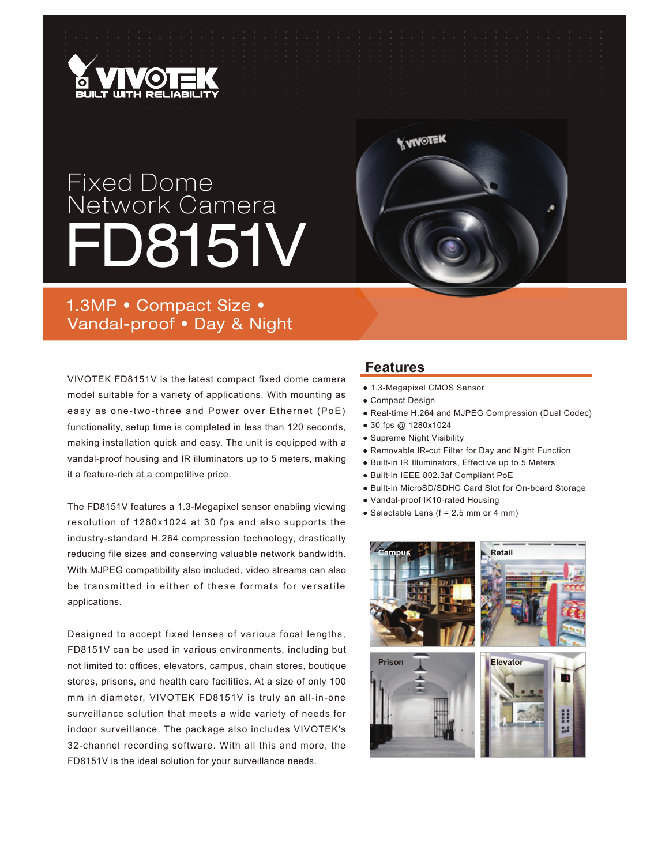

## Fixed Dome Network Camera D8151V



### 1.3MP • Compact Size • Vandal-proof . Day & Night

VIVOTEK FD8151V is the latest compact fixed dome camera model suitable for a variety of applications. With mounting as easy as one-two-three and Power over Ethernet (PoE) functionality, setup time is completed in less than 120 seconds, making installation quick and easy. The unit is equipped with a vandal-proof housing and IR illuminators up to 5 meters, making it a feature-rich at a competitive price.

The FD8151V features a 1.3-Megapixel sensor enabling viewing resolution of 1280x1024 at 30 fps and also supports the industry-standard H.264 compression technology, drastically reducing file sizes and conserving valuable network bandwidth. With MJPEG compatibility also included, video streams can also be transmitted in either of these formats for versatile applications.

Designed to accept fixed lenses of various focal lengths, FD8151V can be used in various environments, including but not limited to: offices, elevators, campus, chain stores, boutique stores, prisons, and health care facilities. At a size of only 100 mm in diameter, VIVOTEK FD8151V is truly an all-in-one surveillance solution that meets a wide variety of needs for indoor surveillance. The package also includes VIVOTEK's 32-channel recording software. With all this and more, the FD8151V is the ideal solution for your surveillance needs.

### **Features**

- Ɣ1.3-Megapixel CMOS Sensor
- Compact Design
- Real-time H.264 and MJPEG Compression (Dual Codec)
- 30 fps @ 1280x1024
- Supreme Night Visibility
- ƔRemovable IR-cut Filter for Day and Night Function
- Built-in IR Illuminators, Effective up to 5 Meters
- ƔBuilt-in IEEE 802.3af Compliant PoE
- Built-in MicroSD/SDHC Card Slot for On-board Storage
- Vandal-proof IK10-rated Housing
- $\bullet$  Selectable Lens (f = 2.5 mm or 4 mm)